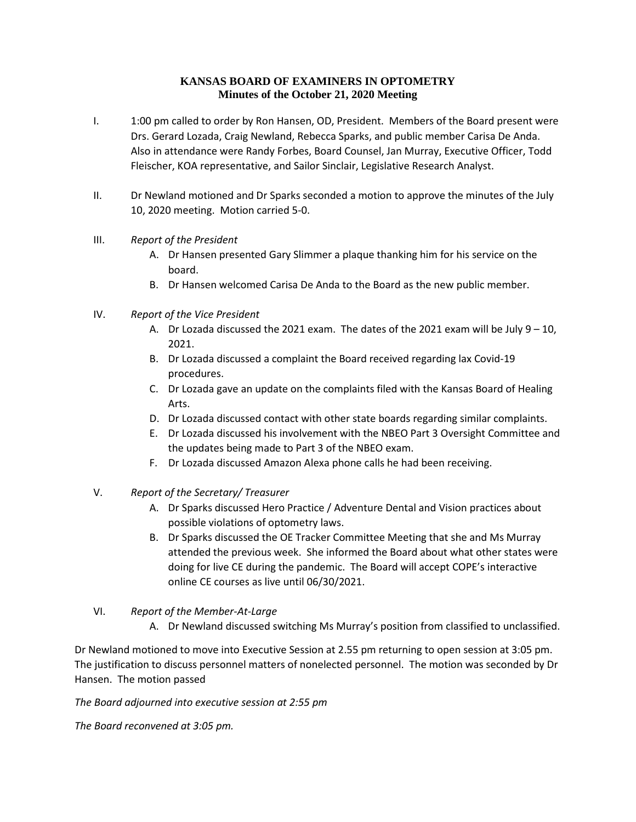## **KANSAS BOARD OF EXAMINERS IN OPTOMETRY Minutes of the October 21, 2020 Meeting**

- I. 1:00 pm called to order by Ron Hansen, OD, President. Members of the Board present were Drs. Gerard Lozada, Craig Newland, Rebecca Sparks, and public member Carisa De Anda. Also in attendance were Randy Forbes, Board Counsel, Jan Murray, Executive Officer, Todd Fleischer, KOA representative, and Sailor Sinclair, Legislative Research Analyst.
- II. Dr Newland motioned and Dr Sparks seconded a motion to approve the minutes of the July 10, 2020 meeting. Motion carried 5-0.
- III. *Report of the President*
	- A. Dr Hansen presented Gary Slimmer a plaque thanking him for his service on the board.
	- B. Dr Hansen welcomed Carisa De Anda to the Board as the new public member.
- IV. *Report of the Vice President*
	- A. Dr Lozada discussed the 2021 exam. The dates of the 2021 exam will be July 9 10, 2021.
	- B. Dr Lozada discussed a complaint the Board received regarding lax Covid-19 procedures.
	- C. Dr Lozada gave an update on the complaints filed with the Kansas Board of Healing Arts.
	- D. Dr Lozada discussed contact with other state boards regarding similar complaints.
	- E. Dr Lozada discussed his involvement with the NBEO Part 3 Oversight Committee and the updates being made to Part 3 of the NBEO exam.
	- F. Dr Lozada discussed Amazon Alexa phone calls he had been receiving.
- V. *Report of the Secretary/ Treasurer*
	- A. Dr Sparks discussed Hero Practice / Adventure Dental and Vision practices about possible violations of optometry laws.
	- B. Dr Sparks discussed the OE Tracker Committee Meeting that she and Ms Murray attended the previous week. She informed the Board about what other states were doing for live CE during the pandemic. The Board will accept COPE's interactive online CE courses as live until 06/30/2021.

## VI. *Report of the Member-At-Large*

A. Dr Newland discussed switching Ms Murray's position from classified to unclassified.

Dr Newland motioned to move into Executive Session at 2.55 pm returning to open session at 3:05 pm. The justification to discuss personnel matters of nonelected personnel. The motion was seconded by Dr Hansen. The motion passed

*The Board adjourned into executive session at 2:55 pm*

*The Board reconvened at 3:05 pm.*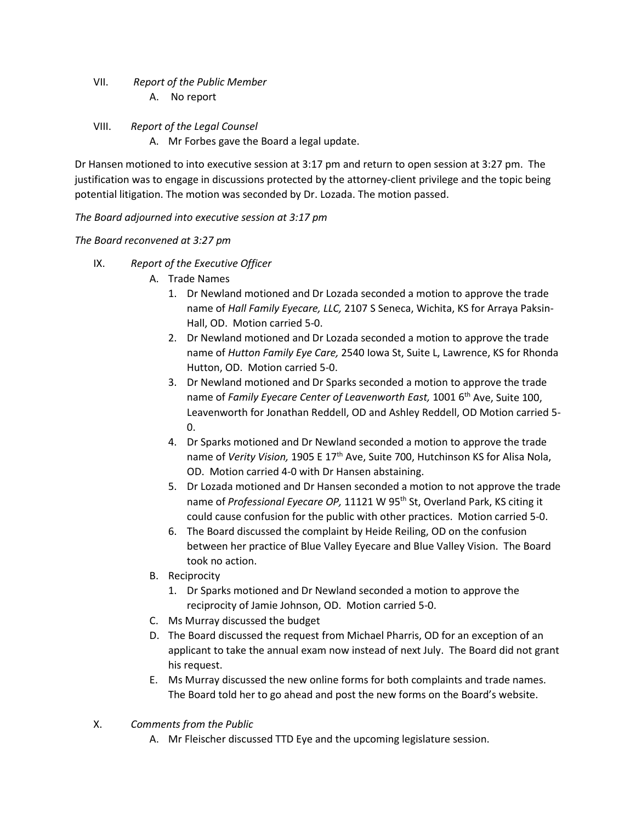VII. *Report of the Public Member* A. No report

VIII. *Report of the Legal Counsel*

A. Mr Forbes gave the Board a legal update.

Dr Hansen motioned to into executive session at 3:17 pm and return to open session at 3:27 pm. The justification was to engage in discussions protected by the attorney-client privilege and the topic being potential litigation. The motion was seconded by Dr. Lozada. The motion passed.

*The Board adjourned into executive session at 3:17 pm*

*The Board reconvened at 3:27 pm*

- IX. *Report of the Executive Officer*
	- A. Trade Names
		- 1. Dr Newland motioned and Dr Lozada seconded a motion to approve the trade name of *Hall Family Eyecare, LLC,* 2107 S Seneca, Wichita, KS for Arraya Paksin-Hall, OD. Motion carried 5-0.
		- 2. Dr Newland motioned and Dr Lozada seconded a motion to approve the trade name of *Hutton Family Eye Care,* 2540 Iowa St, Suite L, Lawrence, KS for Rhonda Hutton, OD. Motion carried 5-0.
		- 3. Dr Newland motioned and Dr Sparks seconded a motion to approve the trade name of *Family Eyecare Center of Leavenworth East,* 1001 6th Ave, Suite 100, Leavenworth for Jonathan Reddell, OD and Ashley Reddell, OD Motion carried 5- 0.
		- 4. Dr Sparks motioned and Dr Newland seconded a motion to approve the trade name of *Verity Vision*, 1905 E 17<sup>th</sup> Ave, Suite 700, Hutchinson KS for Alisa Nola, OD. Motion carried 4-0 with Dr Hansen abstaining.
		- 5. Dr Lozada motioned and Dr Hansen seconded a motion to not approve the trade name of *Professional Eyecare OP*, 11121 W 95<sup>th</sup> St, Overland Park, KS citing it could cause confusion for the public with other practices. Motion carried 5-0.
		- 6. The Board discussed the complaint by Heide Reiling, OD on the confusion between her practice of Blue Valley Eyecare and Blue Valley Vision. The Board took no action.
	- B. Reciprocity
		- 1. Dr Sparks motioned and Dr Newland seconded a motion to approve the reciprocity of Jamie Johnson, OD. Motion carried 5-0.
	- C. Ms Murray discussed the budget
	- D. The Board discussed the request from Michael Pharris, OD for an exception of an applicant to take the annual exam now instead of next July. The Board did not grant his request.
	- E. Ms Murray discussed the new online forms for both complaints and trade names. The Board told her to go ahead and post the new forms on the Board's website.
- X. *Comments from the Public*
	- A. Mr Fleischer discussed TTD Eye and the upcoming legislature session.